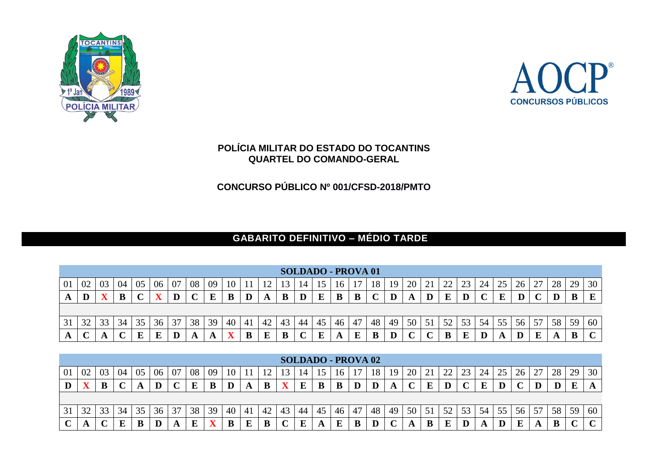



## **POLÍCIA MILITAR DO ESTADO DO TOCANTINS QUARTEL DO COMANDO-GERAL**

**CONCURSO PÚBLICO Nº 001/CFSD-2018/PMTO**

## **GABARITO DEFINITIVO – MÉDIO TARDE**

|   | <b>SOLDADO - PROVA 01</b> |    |    |    |    |    |    |    |    |     |              |    |    |    |     |    |        |    |        |        |               |    |    |    |                 |    |    |    |          |
|---|---------------------------|----|----|----|----|----|----|----|----|-----|--------------|----|----|----|-----|----|--------|----|--------|--------|---------------|----|----|----|-----------------|----|----|----|----------|
| 0 | 02                        | 03 | 04 | 05 | 06 | 07 | 08 | 09 | 10 |     |              |    |    |    |     |    | 18     | 19 | 20     | 21     | $\mathcal{D}$ | 23 | 24 | 25 | 26 <sup>1</sup> | 27 | 28 | 29 | 30       |
|   | D<br>ш                    |    | מ  |    |    |    |    |    | D  | ע   | $\mathbf{r}$ | B  | D  | E  | B   | B  | $\sim$ | IJ |        | D      |               | D  |    | Р  |                 |    |    | D  | $\bf{E}$ |
|   |                           |    |    |    |    |    |    |    |    |     |              |    |    |    |     |    |        |    |        |        |               |    |    |    |                 |    |    |    |          |
|   | 32                        |    | 34 |    | 36 | 37 | 38 | 39 | 40 | -41 | 42           | 43 | 44 | 45 | 46  | 47 | 48     | 49 | 50     | 51     | 52            | 53 | 54 | 55 | 56              | 57 | 58 | 59 | 60       |
|   |                           |    |    |    |    |    |    |    |    |     |              |    |    | та | ГJ. | г  |        |    | $\sim$ | $\sim$ |               |    |    |    |                 |    |    | D  | ັ        |

|    | <b>SOLDADO - PROVA 02</b> |    |    |              |    |        |    |    |    |    |    |    |    |    |    |    |    |    |    |    |    |    |    |    |    |    |    |    |    |
|----|---------------------------|----|----|--------------|----|--------|----|----|----|----|----|----|----|----|----|----|----|----|----|----|----|----|----|----|----|----|----|----|----|
| 01 | 02                        | 03 | 04 | 05           | 06 | 07     | 08 | 09 | 10 |    |    |    | 14 |    | 16 | 17 | 18 | 19 | 20 | 21 | 22 | 23 | 24 | 25 | 26 | 27 | 28 | 29 | 30 |
| D  |                           |    |    | $\mathbf{L}$ |    | $\sim$ | E  | B  |    | A  | B  | w  | F  | B  |    |    |    |    |    | F  |    |    |    |    |    |    |    | T. |    |
|    |                           |    |    |              |    |        |    |    |    |    |    |    |    |    |    |    |    |    |    |    |    |    |    |    |    |    |    |    |    |
|    |                           |    |    |              |    |        |    |    |    |    |    |    |    |    |    |    |    |    |    |    |    |    |    |    |    |    |    |    |    |
| 31 | 32                        | 33 |    |              | 36 | 37     | 38 | 39 | 40 | 41 | 42 | 43 | 44 | 45 | 46 | 47 | 48 | 49 | 50 | 51 | 52 | 53 | 54 | 55 | 56 | 57 | 58 | 59 | 60 |